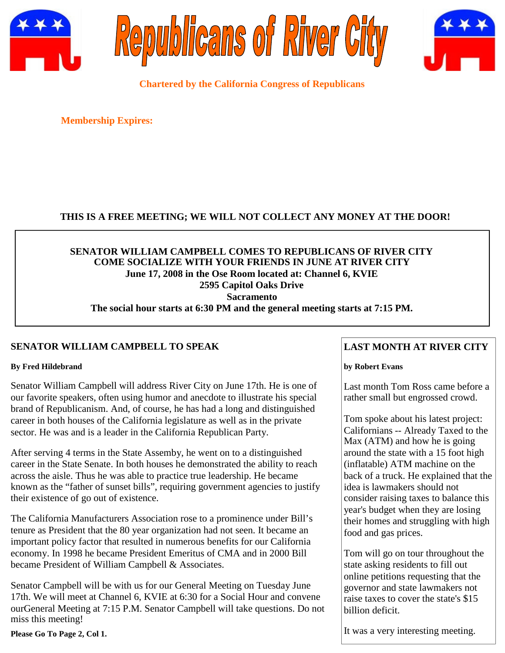





**Chartered by the California Congress of Republicans**

**Membership Expires:**

# **THIS IS A FREE MEETING; WE WILL NOT COLLECT ANY MONEY AT THE DOOR!**

# **SENATOR WILLIAM CAMPBELL COMES TO REPUBLICANS OF RIVER CITY COME SOCIALIZE WITH YOUR FRIENDS IN JUNE AT RIVER CITY June 17, 2008 in the Ose Room located at: Channel 6, KVIE 2595 Capitol Oaks Drive Sacramento The social hour starts at 6:30 PM and the general meeting starts at 7:15 PM.**

# **SENATOR WILLIAM CAMPBELL TO SPEAK**

#### **By Fred Hildebrand**

Senator William Campbell will address River City on June 17th. He is one of our favorite speakers, often using humor and anecdote to illustrate his special brand of Republicanism. And, of course, he has had a long and distinguished career in both houses of the California legislature as well as in the private sector. He was and is a leader in the California Republican Party.

After serving 4 terms in the State Assemby, he went on to a distinguished career in the State Senate. In both houses he demonstrated the ability to reach across the aisle. Thus he was able to practice true leadership. He became known as the "father of sunset bills", requiring government agencies to justify their existence of go out of existence.

The California Manufacturers Association rose to a prominence under Bill's tenure as President that the 80 year organization had not seen. It became an important policy factor that resulted in numerous benefits for our California economy. In 1998 he became President Emeritus of CMA and in 2000 Bill became President of William Campbell & Associates.

Senator Campbell will be with us for our General Meeting on Tuesday June 17th. We will meet at Channel 6, KVIE at 6:30 for a Social Hour and convene ourGeneral Meeting at 7:15 P.M. Senator Campbell will take questions. Do not miss this meeting!

**Please Go To Page 2, Col 1.**

# **LAST MONTH AT RIVER CITY**

#### **by Robert Evans**

Last month Tom Ross came before a rather small but engrossed crowd.

Tom spoke about his latest project: Californians -- Already Taxed to the Max (ATM) and how he is going around the state with a 15 foot high (inflatable) ATM machine on the back of a truck. He explained that the idea is lawmakers should not consider raising taxes to balance this year's budget when they are losing their homes and struggling with high food and gas prices.

Tom will go on tour throughout the state asking residents to fill out online petitions requesting that the governor and state lawmakers not raise taxes to cover the state's \$15 billion deficit.

It was a very interesting meeting.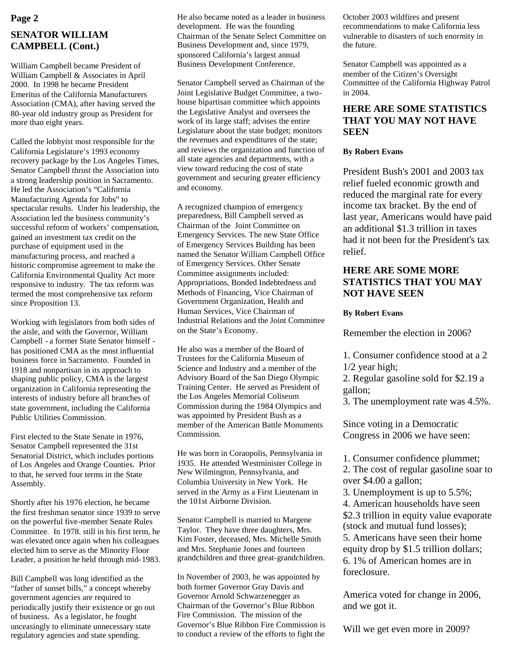# **SENATOR WILLIAM CAMPBELL (Cont.)**

William Campbell became President of William Campbell & Associates in April 2000. In 1998 he became President Emeritus of the California Manufacturers Association (CMA), after having served the 80-year old industry group as President for more than eight years.

Called the lobbyist most responsible for the California Legislature's 1993 economy recovery package by the Los Angeles Times, Senator Campbell thrust the Association into a strong leadership position in Sacramento. He led the Association's "California Manufacturing Agenda for Jobs" to spectacular results. Under his leadership, the Association led the business community's successful reform of workers' compensation, gained an investment tax credit on the purchase of equipment used in the manufacturing process, and reached a historic compromise agreement to make the California Environmental Quality Act more responsive to industry. The tax reform was termed the most comprehensive tax reform since Proposition 13.

Working with legislators from both sides of the aisle, and with the Governor, William Campbell - a former State Senator himself has positioned CMA as the most influential business force in Sacramento. Founded in 1918 and nonpartisan in its approach to shaping public policy, CMA is the largest organization in California representing the interests of industry before all branches of state government, including the California Public Utilities Commission.

First elected to the State Senate in 1976, Senator Campbell represented the 31st Senatorial District, which includes portions of Los Angeles and Orange Counties. Prior to that, he served four terms in the State Assembly.

Shortly after his 1976 election, he became the first freshman senator since 1939 to serve on the powerful five-member Senate Rules Committee. In 1978. still in his first term, he was elevated once again when his colleagues elected him to serve as the Minority Floor Leader, a position he held through mid-1983.

Bill Campbell was long identified as the "father of sunset bills," a concept whereby government agencies are required to periodically justify their existence or go out of business. As a legislator, he fought unceasingly to eliminate unnecessary state regulatory agencies and state spending.

**Page 2** He also became noted as a leader in business October 2003 wildfires and present development. He was the founding Chairman of the Senate Select Committee on Business Development and, since 1979, sponsored California's largest annual Business Development Conference.

> Senator Campbell served as Chairman of the Joint Legislative Budget Committee, a twohouse bipartisan committee which appoints the Legislative Analyst and oversees the work of its large staff; advises the entire Legislature about the state budget; monitors the revenues and expenditures of the state; and reviews the organization and function of all state agencies and departments, with a view toward reducing the cost of state government and securing greater efficiency and economy.

> A recognized champion of emergency preparedness, Bill Campbell served as Chairman of the Joint Committee on Emergency Services. The new State Office of Emergency Services Building has been named the Senator William Campbell Office of Emergency Services. Other Senate Committee assignments included: Appropriations, Bonded Indebtedness and Methods of Financing, Vice Chairman of Government Organization, Health and Human Services, Vice Chairman of Industrial Relations and the Joint Committee on the State's Economy.

He also was a member of the Board of Trustees for the California Museum of Science and Industry and a member of the Advisory Board of the San Diego Olympic Training Center. He served as President of the Los Angeles Memorial Coliseum Commission during the 1984 Olympics and was appointed by President Bush as a member of the American Battle Monuments Commission.

He was born in Coraopolis, Pennsylvania in 1935. He attended Westminister College in New Wilmington, Pennsylvania, and Columbia University in New York. He served in the Army as a First Lieutenant in the 101st Airborne Division.

Senator Campbell is married to Margene Taylor. They have three daughters, Mrs. Kim Foster, deceased, Mrs. Michelle Smith and Mrs. Stephanie Jones and fourteen grandchildren and three great-grandchildren.

In November of 2003, he was appointed by both former Governor Gray Davis and Governor Arnold Schwarzenegger as Chairman of the Governor's Blue Ribbon Fire Commission. The mission of the Governor's Blue Ribbon Fire Commission is to conduct a review of the efforts to fight the recommendations to make California less vulnerable to disasters of such enormity in the future.

Senator Campbell was appointed as a member of the Citizen's Oversight Committee of the California Highway Patrol in 2004.

### **HERE ARE SOME STATISTICS THAT YOU MAY NOT HAVE SEEN**

#### **By Robert Evans**

President Bush's 2001 and 2003 tax relief fueled economic growth and reduced the marginal rate for every income tax bracket. By the end of last year, Americans would have paid an additional \$1.3 trillion in taxes had it not been for the President's tax relief.

### **HERE ARE SOME MORE STATISTICS THAT YOU MAY NOT HAVE SEEN**

#### **By Robert Evans**

Remember the election in 2006?

1. Consumer confidence stood at a 2 1/2 year high;

2. Regular gasoline sold for \$2.19 a gallon;

3. The unemployment rate was 4.5%.

Since voting in a Democratic Congress in 2006 we have seen:

1. Consumer confidence plummet;

2. The cost of regular gasoline soar to over \$4.00 a gallon;

3. Unemployment is up to 5.5%;

4. American households have seen \$2.3 trillion in equity value evaporate (stock and mutual fund losses); 5. Americans have seen their home equity drop by \$1.5 trillion dollars; 6. 1% of American homes are in foreclosure.

America voted for change in 2006, and we got it.

Will we get even more in 2009?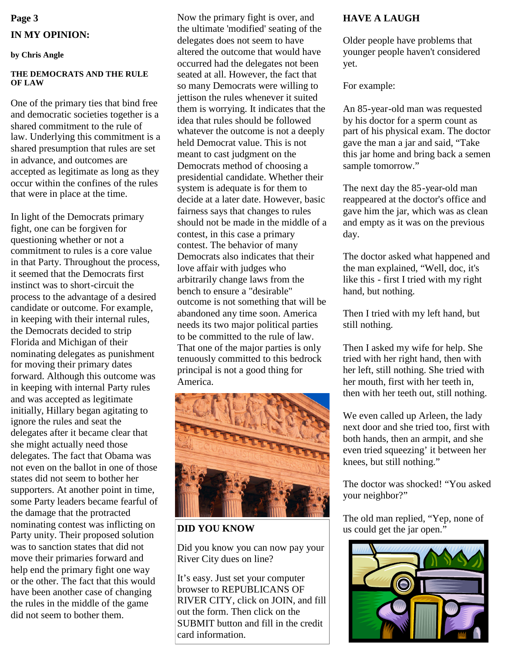# **Page 3 IN MY OPINION:**

**by Chris Angle**

#### **THE DEMOCRATS AND THE RULE OF LAW**

One of the primary ties that bind free and democratic societies together is a shared commitment to the rule of law. Underlying this commitment is a shared presumption that rules are set in advance, and outcomes are accepted as legitimate as long as they occur within the confines of the rules that were in place at the time.

In light of the Democrats primary fight, one can be forgiven for questioning whether or not a commitment to rules is a core value in that Party. Throughout the process, it seemed that the Democrats first instinct was to short-circuit the process to the advantage of a desired candidate or outcome. For example, in keeping with their internal rules, the Democrats decided to strip Florida and Michigan of their nominating delegates as punishment for moving their primary dates forward. Although this outcome was in keeping with internal Party rules and was accepted as legitimate initially, Hillary began agitating to ignore the rules and seat the delegates after it became clear that she might actually need those delegates. The fact that Obama was not even on the ballot in one of those states did not seem to bother her supporters. At another point in time, some Party leaders became fearful of the damage that the protracted nominating contest was inflicting on Party unity. Their proposed solution was to sanction states that did not move their primaries forward and help end the primary fight one way or the other. The fact that this would have been another case of changing the rules in the middle of the game did not seem to bother them.

Now the primary fight is over, and the ultimate 'modified' seating of the delegates does not seem to have altered the outcome that would have occurred had the delegates not been seated at all. However, the fact that so many Democrats were willing to jettison the rules whenever it suited them is worrying. It indicates that the idea that rules should be followed whatever the outcome is not a deeply held Democrat value. This is not meant to cast judgment on the Democrats method of choosing a presidential candidate. Whether their system is adequate is for them to decide at a later date. However, basic fairness says that changes to rules should not be made in the middle of a contest, in this case a primary contest. The behavior of many Democrats also indicates that their love affair with judges who arbitrarily change laws from the bench to ensure a "desirable" outcome is not something that will be abandoned any time soon. America needs its two major political parties to be committed to the rule of law. That one of the major parties is only tenuously committed to this bedrock principal is not a good thing for America.



Did you know you can now pay your River City dues on line?

It's easy. Just set your computer browser to REPUBLICANS OF RIVER CITY, click on JOIN, and fill out the form. Then click on the SUBMIT button and fill in the credit card information.

# **HAVE A LAUGH**

Older people have problems that younger people haven't considered yet.

For example:

An 85-year-old man was requested by his doctor for a sperm count as part of his physical exam. The doctor gave the man a jar and said, "Take this jar home and bring back a semen sample tomorrow."

The next day the 85-year-old man reappeared at the doctor's office and gave him the jar, which was as clean and empty as it was on the previous day.

The doctor asked what happened and the man explained, "Well, doc, it's like this - first I tried with my right hand, but nothing.

Then I tried with my left hand, but still nothing.

Then I asked my wife for help. She tried with her right hand, then with her left, still nothing. She tried with her mouth, first with her teeth in, then with her teeth out, still nothing.

We even called up Arleen, the lady next door and she tried too, first with both hands, then an armpit, and she even tried squeezing' it between her knees, but still nothing."

The doctor was shocked! "You asked your neighbor?"

The old man replied, "Yep, none of **DID YOU KNOW** us could get the jar open.<sup>"</sup>

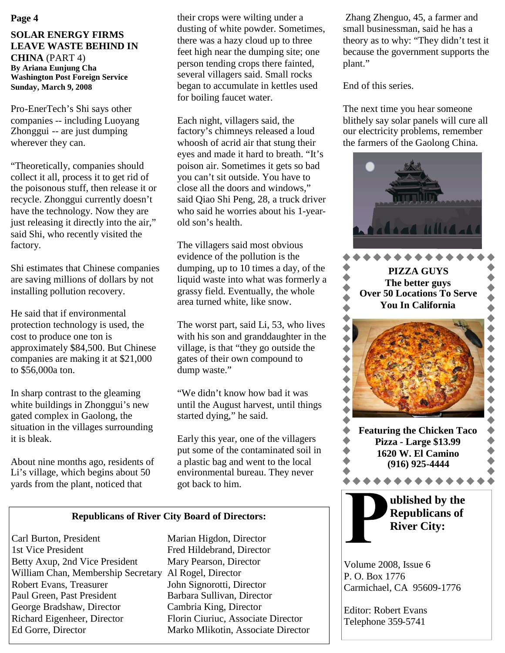#### **Page 4**

#### **SOLAR ENERGY FIRMS LEAVE WASTE BEHIND IN CHINA** (PART 4) **By Ariana Eunjung Cha Washington Post Foreign Service Sunday, March 9, 2008**

Pro-EnerTech's Shi says other companies -- including Luoyang Zhonggui -- are just dumping wherever they can.

"Theoretically, companies should collect it all, process it to get rid of the poisonous stuff, then release it or recycle. Zhonggui currently doesn't have the technology. Now they are just releasing it directly into the air," said Shi, who recently visited the factory.

Shi estimates that Chinese companies are saving millions of dollars by not installing pollution recovery.

He said that if environmental protection technology is used, the cost to produce one ton is approximately \$84,500. But Chinese companies are making it at \$21,000 to \$56,000a ton.

In sharp contrast to the gleaming white buildings in Zhonggui's new gated complex in Gaolong, the situation in the villages surrounding it is bleak.

About nine months ago, residents of Li's village, which begins about 50 yards from the plant, noticed that

their crops were wilting under a dusting of white powder. Sometimes, there was a hazy cloud up to three feet high near the dumping site; one person tending crops there fainted, several villagers said. Small rocks began to accumulate in kettles used for boiling faucet water.

Each night, villagers said, the factory's chimneys released a loud whoosh of acrid air that stung their eyes and made it hard to breath. "It's poison air. Sometimes it gets so bad you can't sit outside. You have to close all the doors and windows," said Qiao Shi Peng, 28, a truck driver who said he worries about his 1-yearold son's health.

The villagers said most obvious evidence of the pollution is the dumping, up to 10 times a day, of the liquid waste into what was formerly a grassy field. Eventually, the whole area turned white, like snow.

The worst part, said Li, 53, who lives with his son and granddaughter in the village, is that "they go outside the gates of their own compound to dump waste."

"We didn't know how bad it was until the August harvest, until things started dying," he said.

Early this year, one of the villagers put some of the contaminated soil in a plastic bag and went to the local environmental bureau. They never got back to him.

#### **Republicans of River City Board of Directors:**

Carl Burton, President Marian Higdon, Director 1st Vice President Fred Hildebrand, Director Betty Axup, 2nd Vice President Mary Pearson, Director William Chan, Membership Secretary Al Rogel, Director Robert Evans, Treasurer John Signorotti, Director Paul Green, Past President Barbara Sullivan, Director George Bradshaw, Director Cambria King, Director Richard Eigenheer, Director Florin Ciuriuc, Associate Director Ed Gorre, Director Marko Mlikotin, Associate Director

Zhang Zhenguo, 45, a farmer and small businessman, said he has a theory as to why: "They didn't test it because the government supports the plant."

End of this series.

The next time you hear someone blithely say solar panels will cure all our electricity problems, remember the farmers of the Gaolong China.



Volume 2008, Issue 6 P. O. Box 1776 Carmichael, CA 95609-1776

Editor: Robert Evans Telephone 359-5741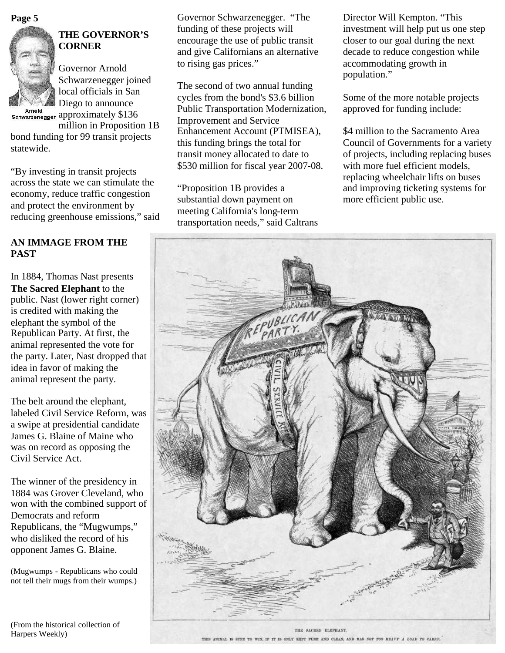

# **THE GOVERNOR'S CORNER**

Governor Arnold Schwarzenegger joined local officials in San Diego to announce Arnold<br>Schwarzenegger approximately \$136

million in Proposition 1B

bond funding for 99 transit projects statewide.

"By investing in transit projects across the state we can stimulate the economy, reduce traffic congestion and protect the environment by reducing greenhouse emissions," said

# **AN IMMAGE FROM THE PAST**

In 1884, Thomas Nast presents **The Sacred Elephant** to the public. Nast (lower right corner) is credited with making the elephant the symbol of the Republican Party. At first, the animal represented the vote for the party. Later, Nast dropped that idea in favor of making the animal represent the party.

The belt around the elephant, labeled Civil Service Reform, was a swipe at presidential candidate James G. Blaine of Maine who was on record as opposing the Civil Service Act.

The winner of the presidency in 1884 was Grover Cleveland, who won with the combined support of Democrats and reform Republicans, the "Mugwumps," who disliked the record of his opponent James G. Blaine.

(Mugwumps - Republicans who could not tell their mugs from their wumps.)

**Page 5** Governor Schwarzenegger. "The Director Will Kempton. "This funding of these projects will encourage the use of public transit and give Californians an alternative to rising gas prices."

> The second of two annual funding cycles from the bond's \$3.6 billion Public Transportation Modernization, Improvement and Service Enhancement Account (PTMISEA), this funding brings the total for transit money allocated to date to \$530 million for fiscal year 2007-08.

"Proposition 1B provides a substantial down payment on meeting California's long-term transportation needs," said Caltrans investment will help put us one step closer to our goal during the next decade to reduce congestion while accommodating growth in population."

Some of the more notable projects approved for funding include:

\$4 million to the Sacramento Area Council of Governments for a variety of projects, including replacing buses with more fuel efficient models, replacing wheelchair lifts on buses and improving ticketing systems for more efficient public use.



THE SACRED ELEPHANT. THIS ANIMAL IS SUBE TO WIN, IF IT IS ONLY KEIT FURE AND CLEAN, AND HAS NOT TOO HEAVY A LOAD TO CARRY.

(From the historical collection of Harpers Weekly)